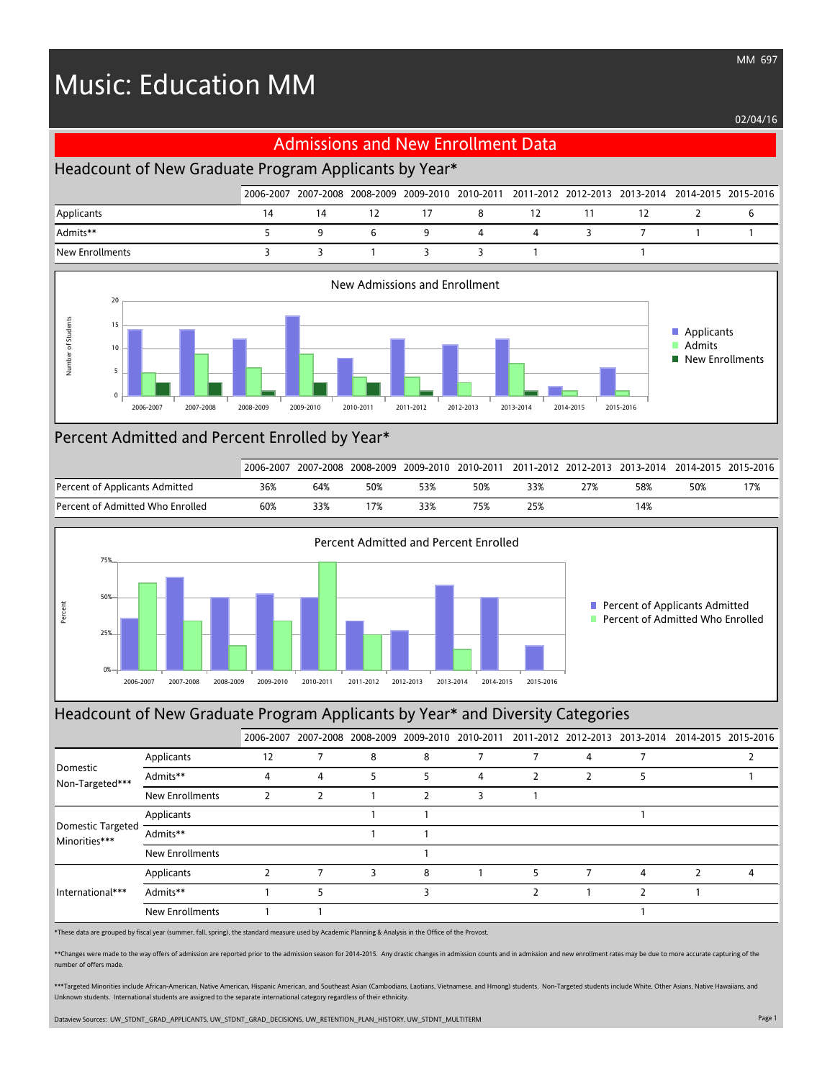# Music: Education MM

02/04/16



# Percent Admitted and Percent Enrolled by Year\*

|                                  | 2006-2007 |     |     |     |     |     |     | 2007-2008 2008-2009 2009-2010 2010-2011 2011-2012 2012-2013 2013-2014 2014-2015 2015-2016 |     |     |
|----------------------------------|-----------|-----|-----|-----|-----|-----|-----|-------------------------------------------------------------------------------------------|-----|-----|
| Percent of Applicants Admitted   | 36%       | 64% | 50% |     | 50% | 33% | 27% | 58%                                                                                       | 50% | 17% |
| Percent of Admitted Who Enrolled | 60%       | 33% |     | 33% | 75% | 25% |     | 14%                                                                                       |     |     |



#### Headcount of New Graduate Program Applicants by Year\* and Diversity Categories

|                                    |                        |    |   |   |   |   |   |   | 2006-2007 2007-2008 2008-2009 2009-2010 2010-2011 2011-2012 2012-2013 2013-2014 2014-2015 2015-2016 |
|------------------------------------|------------------------|----|---|---|---|---|---|---|-----------------------------------------------------------------------------------------------------|
| Domestic<br>Non-Targeted***        | Applicants             | 12 |   | 8 | 8 | 7 |   |   |                                                                                                     |
|                                    | Admits**               |    | 4 | 5 | 5 | 4 | 7 |   |                                                                                                     |
|                                    | <b>New Enrollments</b> |    |   |   |   |   |   |   |                                                                                                     |
| Domestic Targeted<br>Minorities*** | Applicants             |    |   |   |   |   |   |   |                                                                                                     |
|                                    | Admits**               |    |   |   |   |   |   |   |                                                                                                     |
|                                    | New Enrollments        |    |   |   |   |   |   |   |                                                                                                     |
| International***                   | Applicants             |    |   |   | 8 |   | 5 | 4 | Δ                                                                                                   |
|                                    | Admits**               |    |   |   |   |   |   |   |                                                                                                     |
|                                    | New Enrollments        |    |   |   |   |   |   |   |                                                                                                     |

\*These data are grouped by fiscal year (summer, fall, spring), the standard measure used by Academic Planning & Analysis in the Office of the Provost.

\*\*Changes were made to the way offers of admission are reported prior to the admission season for 2014-2015. Any drastic changes in admission counts and in admission and new enrollment rates may be due to more accurate cap number of offers made.

\*\*\*Targeted Minorities include African-American, Native American, Hispanic American, and Southeast Asian (Cambodians, Laotians, Vietnamese, and Hmong) students. Non-Targeted students include White, Other Asians, Native Haw Unknown students. International students are assigned to the separate international category regardless of their ethnicity.

Dataview Sources: UW\_STDNT\_GRAD\_APPLICANTS, UW\_STDNT\_GRAD\_DECISIONS, UW\_RETENTION\_PLAN\_HISTORY, UW\_STDNT\_MULTITERM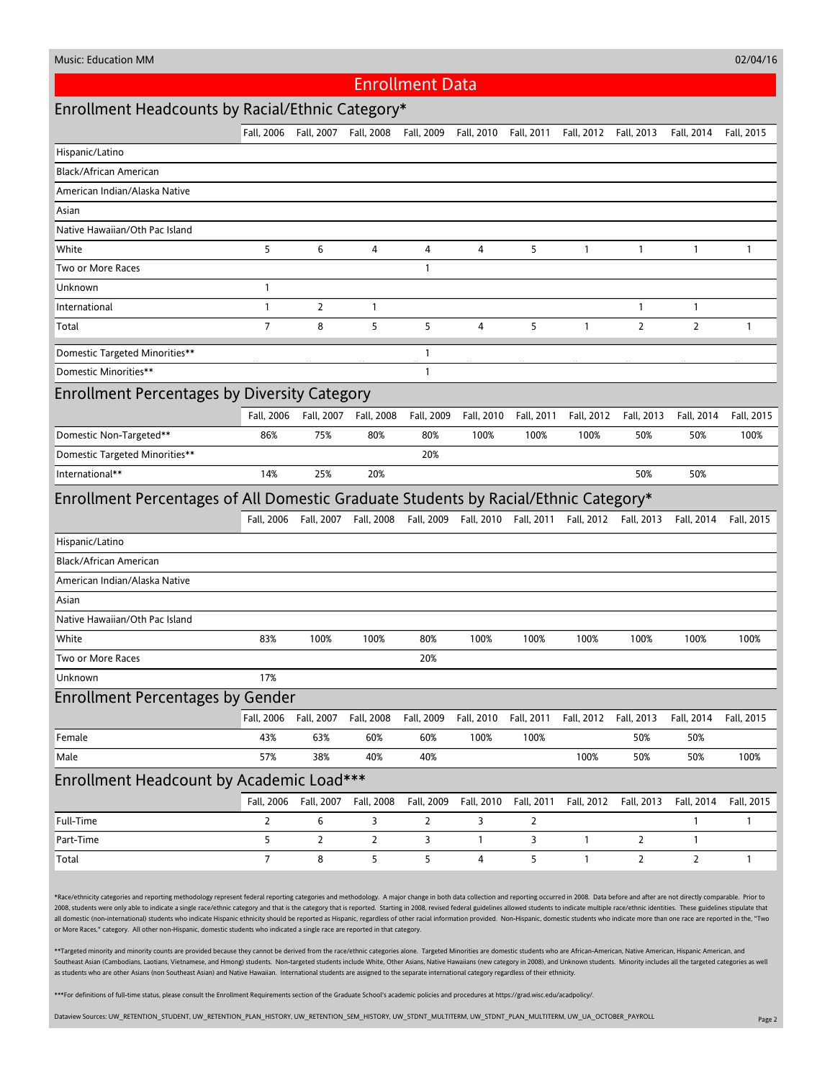02/04/16

#### Enrollment Data

# Enrollment Headcounts by Racial/Ethnic Category\*

|                                                                                     | Fall, 2006            | Fall, 2007             | Fall, 2008                       | Fall, 2009     | Fall, 2010   | Fall, 2011                       | Fall, 2012   | Fall, 2013            | Fall, 2014     | Fall, 2015   |
|-------------------------------------------------------------------------------------|-----------------------|------------------------|----------------------------------|----------------|--------------|----------------------------------|--------------|-----------------------|----------------|--------------|
| Hispanic/Latino                                                                     |                       |                        |                                  |                |              |                                  |              |                       |                |              |
| Black/African American                                                              |                       |                        |                                  |                |              |                                  |              |                       |                |              |
| American Indian/Alaska Native                                                       |                       |                        |                                  |                |              |                                  |              |                       |                |              |
| Asian                                                                               |                       |                        |                                  |                |              |                                  |              |                       |                |              |
| Native Hawaiian/Oth Pac Island                                                      |                       |                        |                                  |                |              |                                  |              |                       |                |              |
| White                                                                               | 5                     | 6                      | 4                                | 4              | 4            | 5                                | 1            | $\mathbf{1}$          | 1              | $\mathbf{1}$ |
| Two or More Races                                                                   |                       |                        |                                  | $\mathbf{1}$   |              |                                  |              |                       |                |              |
| Unknown                                                                             | $\mathbf{1}$          |                        |                                  |                |              |                                  |              |                       |                |              |
| International                                                                       | $\mathbf{1}$          | 2                      | $\mathbf{1}$                     |                |              |                                  |              | $\mathbf{1}$          | $\mathbf{1}$   |              |
| Total                                                                               | 7                     | 8                      | 5                                | 5              | 4            | 5                                | $\mathbf{1}$ | $\overline{2}$        | $\overline{2}$ | $\mathbf{1}$ |
| Domestic Targeted Minorities**                                                      |                       |                        |                                  | $\mathbf{1}$   |              |                                  |              |                       |                |              |
| Domestic Minorities**                                                               |                       |                        |                                  | $\mathbf{1}$   |              |                                  |              |                       |                |              |
| <b>Enrollment Percentages by Diversity Category</b>                                 |                       |                        |                                  |                |              |                                  |              |                       |                |              |
|                                                                                     | Fall, 2006            | Fall, 2007             | Fall, 2008                       | Fall, 2009     | Fall, 2010   | Fall, 2011                       | Fall, 2012   | Fall, 2013            | Fall, 2014     | Fall, 2015   |
| Domestic Non-Targeted**                                                             | 86%                   | 75%                    | 80%                              | 80%            | 100%         | 100%                             | 100%         | 50%                   | 50%            | 100%         |
| Domestic Targeted Minorities**                                                      |                       |                        |                                  | 20%            |              |                                  |              |                       |                |              |
| International**                                                                     | 14%                   | 25%                    | 20%                              |                |              |                                  |              | 50%                   | 50%            |              |
| Enrollment Percentages of All Domestic Graduate Students by Racial/Ethnic Category* |                       |                        |                                  |                |              |                                  |              |                       |                |              |
|                                                                                     |                       |                        |                                  |                |              |                                  |              |                       |                |              |
|                                                                                     |                       |                        |                                  |                |              |                                  |              |                       |                |              |
|                                                                                     |                       |                        | Fall, 2006 Fall, 2007 Fall, 2008 |                |              | Fall, 2009 Fall, 2010 Fall, 2011 |              | Fall, 2012 Fall, 2013 | Fall, 2014     | Fall, 2015   |
| Hispanic/Latino                                                                     |                       |                        |                                  |                |              |                                  |              |                       |                |              |
| Black/African American                                                              |                       |                        |                                  |                |              |                                  |              |                       |                |              |
| American Indian/Alaska Native                                                       |                       |                        |                                  |                |              |                                  |              |                       |                |              |
| Asian                                                                               |                       |                        |                                  |                |              |                                  |              |                       |                |              |
| Native Hawaiian/Oth Pac Island                                                      |                       |                        |                                  |                |              |                                  |              |                       |                |              |
| White                                                                               | 83%                   | 100%                   | 100%                             | 80%            | 100%         | 100%                             | 100%         | 100%                  | 100%           | 100%         |
| Two or More Races                                                                   |                       |                        |                                  | 20%            |              |                                  |              |                       |                |              |
| Unknown                                                                             | 17%                   |                        |                                  |                |              |                                  |              |                       |                |              |
| <b>Enrollment Percentages by Gender</b>                                             |                       |                        |                                  |                |              |                                  |              |                       |                |              |
|                                                                                     | Fall, 2006 Fall, 2007 |                        | Fall, 2008                       | Fall, 2009     | Fall, 2010   | Fall, 2011                       | Fall, 2012   | Fall, 2013            | Fall, 2014     | Fall, 2015   |
| Female                                                                              | 43%                   | 63%                    | 60%                              | 60%            | 100%         | 100%                             |              | 50%                   | 50%            |              |
| Male                                                                                | 57%                   | 38%                    | 40%                              | 40%            |              |                                  | 100%         | 50%                   | 50%            | 100%         |
| Enrollment Headcount by Academic Load***                                            |                       |                        |                                  |                |              |                                  |              |                       |                |              |
|                                                                                     |                       | Fall, 2006  Fall, 2007 | Fall, 2008                       | Fall, 2009     | Fall, 2010   | Fall, 2011                       | Fall, 2012   | Fall, 2013            | Fall, 2014     | Fall, 2015   |
| Full-Time                                                                           | 2                     | 6                      | 3                                | $\overline{2}$ | 3            | 2                                |              |                       | 1              | $\mathbf{1}$ |
| Part-Time                                                                           | 5                     | $\overline{2}$         | $\overline{2}$                   | 3              | $\mathbf{1}$ | 3                                | $\mathbf{1}$ | $\overline{2}$        | $\mathbf{1}$   |              |

\*Race/ethnicity categories and reporting methodology represent federal reporting categories and methodology. A major change in both data collection and reporting occurred in 2008. Data before and after are not directly com 2008, students were only able to indicate a single race/ethnic category and that is the category that is reported. Starting in 2008, revised federal guidelines allowed students to indicate multiple race/ethnic identities. all domestic (non-international) students who indicate Hispanic ethnicity should be reported as Hispanic, regardless of other racial information provided. Non-Hispanic, domestic students who indicate more than one race are or More Races," category. All other non-Hispanic, domestic students who indicated a single race are reported in that category.

\*\*Targeted minority and minority counts are provided because they cannot be derived from the race/ethnic categories alone. Targeted Minorities are domestic students who are African-American, Native American, Hispanic Ameri Southeast Asian (Cambodians, Laotians, Vietnamese, and Hmong) students. Non-targeted students include White, Other Asians, Native Hawaiians (new category in 2008), and Unknown students. Minority includes all the targeted c as students who are other Asians (non Southeast Asian) and Native Hawaiian. International students are assigned to the separate international category regardless of their ethnicity.

\*\*\*For definitions of full-time status, please consult the Enrollment Requirements section of the Graduate School's academic policies and procedures at https://grad.wisc.edu/acadpolicy/.

Dataview Sources: UW\_RETENTION\_STUDENT, UW\_RETENTION\_PLAN\_HISTORY, UW\_RETENTION\_SEM\_HISTORY, UW\_STDNT\_MULTITERM, UW\_STDNT\_PLAN\_MULTITERM, UW\_UA\_OCTOBER\_PAYROLL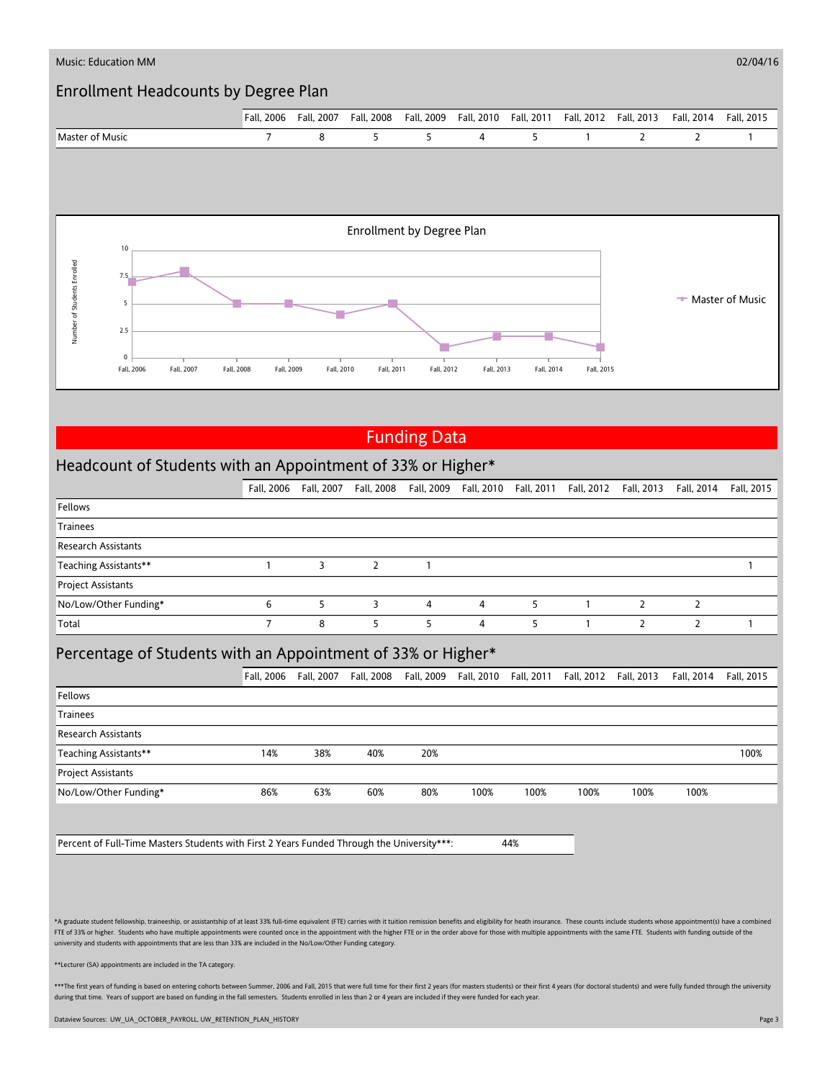

# Funding Data

# Headcount of Students with an Appointment of 33% or Higher\*

|                            | Fall, 2006 | Fall, 2007 |   |   |   |   | Fall, 2008 Fall, 2009 Fall, 2010 Fall, 2011 Fall, 2012 Fall, 2013 | Fall, 2014 | Fall, 2015 |
|----------------------------|------------|------------|---|---|---|---|-------------------------------------------------------------------|------------|------------|
| Fellows                    |            |            |   |   |   |   |                                                                   |            |            |
| <b>Trainees</b>            |            |            |   |   |   |   |                                                                   |            |            |
| <b>Research Assistants</b> |            |            |   |   |   |   |                                                                   |            |            |
| Teaching Assistants**      |            |            |   |   |   |   |                                                                   |            |            |
| <b>Project Assistants</b>  |            |            |   |   |   |   |                                                                   |            |            |
| No/Low/Other Funding*      | 6          |            | 3 | 4 | 4 | 5 |                                                                   |            |            |
| Total                      |            | 8          |   | 5 |   |   |                                                                   |            |            |

## Percentage of Students with an Appointment of 33% or Higher\*

|                            | Fall, 2006 | Fall, 2007 | Fall, 2008 | Fall, 2009 | Fall, 2010 | Fall, 2011 |      | Fall, 2012 Fall, 2013 | Fall, 2014 | Fall, 2015 |
|----------------------------|------------|------------|------------|------------|------------|------------|------|-----------------------|------------|------------|
| Fellows                    |            |            |            |            |            |            |      |                       |            |            |
| Trainees                   |            |            |            |            |            |            |      |                       |            |            |
| <b>Research Assistants</b> |            |            |            |            |            |            |      |                       |            |            |
| Teaching Assistants**      | 14%        | 38%        | 40%        | 20%        |            |            |      |                       |            | 100%       |
| <b>Project Assistants</b>  |            |            |            |            |            |            |      |                       |            |            |
| No/Low/Other Funding*      | 86%        | 63%        | 60%        | 80%        | 100%       | 100%       | 100% | 100%                  | 100%       |            |
|                            |            |            |            |            |            |            |      |                       |            |            |
|                            |            |            |            |            |            |            |      |                       |            |            |

Percent of Full-Time Masters Students with First 2 Years Funded Through the University\*\*\*: 44%

\*A graduate student fellowship, traineeship, or assistantship of at least 33% full-time equivalent (FTE) carries with it tuition remission benefits and eligibility for heath insurance. These counts include students whose a FTE of 33% or higher. Students who have multiple appointments were counted once in the appointment with the higher FTE or in the order above for those with multiple appointments with the same FTE. Students with funding out university and students with appointments that are less than 33% are included in the No/Low/Other Funding category.

\*\*Lecturer (SA) appointments are included in the TA category.

\*\*\*The first years of funding is based on entering cohorts between Summer, 2006 and Fall, 2015 that were full time for their first 2 years (for masters students) or their first 4 years (for doctoral students) and were full during that time. Years of support are based on funding in the fall semesters. Students enrolled in less than 2 or 4 years are included if they were funded for each year

Dataview Sources: UW\_UA\_OCTOBER\_PAYROLL, UW\_RETENTION\_PLAN\_HISTORY